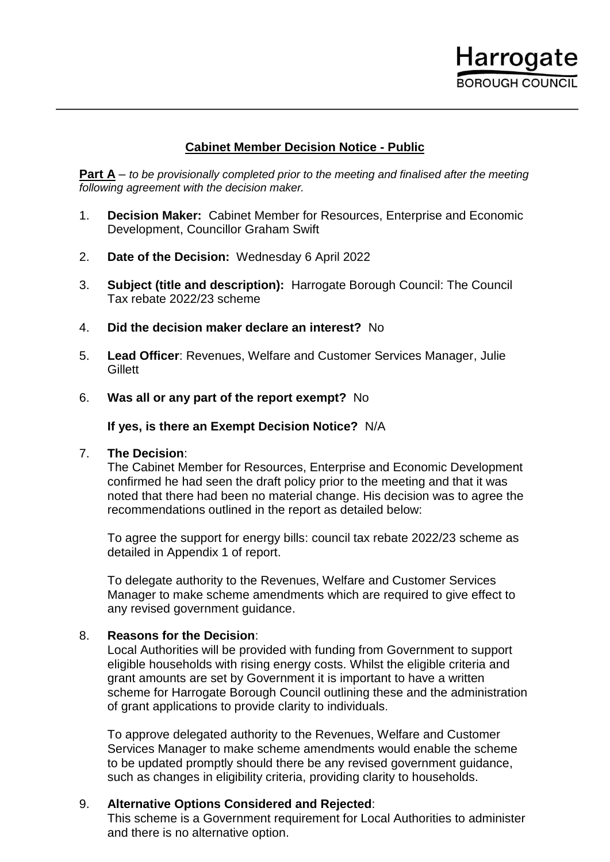

## **Cabinet Member Decision Notice - Public**

**Part A** – *to be provisionally completed prior to the meeting and finalised after the meeting following agreement with the decision maker.*

- 1. **Decision Maker:** Cabinet Member for Resources, Enterprise and Economic Development, Councillor Graham Swift
- 2. **Date of the Decision:** Wednesday 6 April 2022
- 3. **Subject (title and description):** Harrogate Borough Council: The Council Tax rebate 2022/23 scheme
- 4. **Did the decision maker declare an interest?** No
- 5. **Lead Officer**: Revenues, Welfare and Customer Services Manager, Julie **Gillett**
- 6. **Was all or any part of the report exempt?** No

**If yes, is there an Exempt Decision Notice?** N/A

## 7. **The Decision**:

The Cabinet Member for Resources, Enterprise and Economic Development confirmed he had seen the draft policy prior to the meeting and that it was noted that there had been no material change. His decision was to agree the recommendations outlined in the report as detailed below:

To agree the support for energy bills: council tax rebate 2022/23 scheme as detailed in Appendix 1 of report.

To delegate authority to the Revenues, Welfare and Customer Services Manager to make scheme amendments which are required to give effect to any revised government guidance.

## 8. **Reasons for the Decision**:

Local Authorities will be provided with funding from Government to support eligible households with rising energy costs. Whilst the eligible criteria and grant amounts are set by Government it is important to have a written scheme for Harrogate Borough Council outlining these and the administration of grant applications to provide clarity to individuals.

To approve delegated authority to the Revenues, Welfare and Customer Services Manager to make scheme amendments would enable the scheme to be updated promptly should there be any revised government guidance, such as changes in eligibility criteria, providing clarity to households.

## 9. **Alternative Options Considered and Rejected**:

This scheme is a Government requirement for Local Authorities to administer and there is no alternative option.